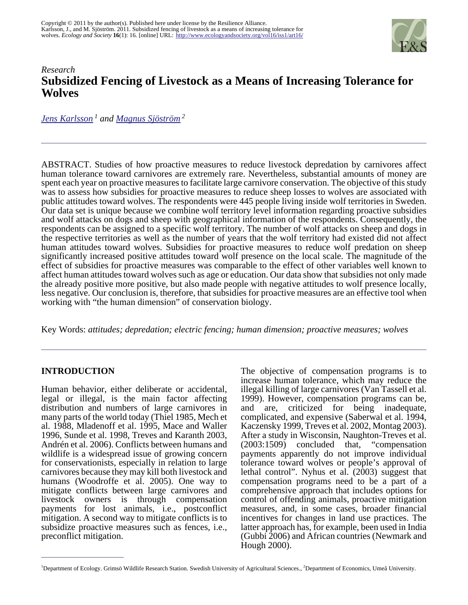

# *Research* **Subsidized Fencing of Livestock as a Means of Increasing Tolerance for Wolves**

*[Jens Karlsson](mailto:jens.karlsson@ekol.slu.se)<sup>1</sup> and [Magnus Sjöström](mailto:magnus.sjostrom@econ.umu.se)<sup>2</sup>*

ABSTRACT. Studies of how proactive measures to reduce livestock depredation by carnivores affect human tolerance toward carnivores are extremely rare. Nevertheless, substantial amounts of money are spent each year on proactive measures to facilitate large carnivore conservation. The objective of this study was to assess how subsidies for proactive measures to reduce sheep losses to wolves are associated with public attitudes toward wolves. The respondents were 445 people living inside wolf territories in Sweden. Our data set is unique because we combine wolf territory level information regarding proactive subsidies and wolf attacks on dogs and sheep with geographical information of the respondents. Consequently, the respondents can be assigned to a specific wolf territory. The number of wolf attacks on sheep and dogs in the respective territories as well as the number of years that the wolf territory had existed did not affect human attitudes toward wolves. Subsidies for proactive measures to reduce wolf predation on sheep significantly increased positive attitudes toward wolf presence on the local scale. The magnitude of the effect of subsidies for proactive measures was comparable to the effect of other variables well known to affect human attitudes toward wolves such as age or education. Our data show that subsidies not only made the already positive more positive, but also made people with negative attitudes to wolf presence locally, less negative. Our conclusion is, therefore, that subsidies for proactive measures are an effective tool when working with "the human dimension" of conservation biology.

Key Words: *attitudes; depredation; electric fencing; human dimension; proactive measures; wolves* 

### **INTRODUCTION**

Human behavior, either deliberate or accidental, legal or illegal, is the main factor affecting distribution and numbers of large carnivores in many parts of the world today (Thiel 1985, Mech et al. 1988, Mladenoff et al. 1995, Mace and Waller 1996, Sunde et al. 1998, Treves and Karanth 2003, Andrén et al. 2006). Conflicts between humans and wildlife is a widespread issue of growing concern for conservationists, especially in relation to large carnivores because they may kill both livestock and humans (Woodroffe et al. 2005). One way to mitigate conflicts between large carnivores and livestock owners is through compensation payments for lost animals, i.e., postconflict mitigation. A second way to mitigate conflicts is to subsidize proactive measures such as fences, i.e., preconflict mitigation.

The objective of compensation programs is to increase human tolerance, which may reduce the illegal killing of large carnivores (Van Tassell et al. 1999). However, compensation programs can be, and are, criticized for being inadequate, complicated, and expensive (Saberwal et al. 1994, Kaczensky 1999, Treves et al. 2002, Montag 2003). After a study in Wisconsin, Naughton-Treves et al. (2003:1509) concluded that, "compensation payments apparently do not improve individual tolerance toward wolves or people's approval of lethal control". Nyhus et al. (2003) suggest that compensation programs need to be a part of a comprehensive approach that includes options for control of offending animals, proactive mitigation measures, and, in some cases, broader financial incentives for changes in land use practices. The latter approach has, for example, been used in India (Gubbi 2006) and African countries (Newmark and Hough 2000).

<sup>&</sup>lt;sup>1</sup>Department of Ecology. Grimsö Wildlife Research Station. Swedish University of Agricultural Sciences., <sup>2</sup>Department of Economics, Umeå University.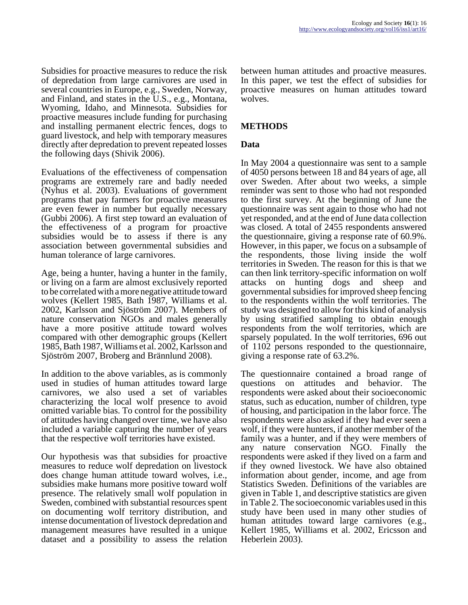Subsidies for proactive measures to reduce the risk of depredation from large carnivores are used in several countries in Europe, e.g., Sweden, Norway, and Finland, and states in the U.S., e.g., Montana, Wyoming, Idaho, and Minnesota. Subsidies for proactive measures include funding for purchasing and installing permanent electric fences, dogs to guard livestock, and help with temporary measures directly after depredation to prevent repeated losses the following days (Shivik 2006).

Evaluations of the effectiveness of compensation programs are extremely rare and badly needed (Nyhus et al. 2003). Evaluations of government programs that pay farmers for proactive measures are even fewer in number but equally necessary (Gubbi 2006). A first step toward an evaluation of the effectiveness of a program for proactive subsidies would be to assess if there is any association between governmental subsidies and human tolerance of large carnivores.

Age, being a hunter, having a hunter in the family, or living on a farm are almost exclusively reported to be correlated with a more negative attitude toward wolves (Kellert 1985, Bath 1987, Williams et al. 2002, Karlsson and Sjöström 2007). Members of nature conservation NGOs and males generally have a more positive attitude toward wolves compared with other demographic groups (Kellert 1985, Bath 1987, Williams et al. 2002, Karlsson and Sjöström 2007, Broberg and Brännlund 2008).

In addition to the above variables, as is commonly used in studies of human attitudes toward large carnivores, we also used a set of variables characterizing the local wolf presence to avoid omitted variable bias. To control for the possibility of attitudes having changed over time, we have also included a variable capturing the number of years that the respective wolf territories have existed.

Our hypothesis was that subsidies for proactive measures to reduce wolf depredation on livestock does change human attitude toward wolves, i.e., subsidies make humans more positive toward wolf presence. The relatively small wolf population in Sweden, combined with substantial resources spent on documenting wolf territory distribution, and intense documentation of livestock depredation and management measures have resulted in a unique dataset and a possibility to assess the relation

between human attitudes and proactive measures. In this paper, we test the effect of subsidies for proactive measures on human attitudes toward wolves.

### **METHODS**

## **Data**

In May 2004 a questionnaire was sent to a sample of 4050 persons between 18 and 84 years of age, all over Sweden. After about two weeks, a simple reminder was sent to those who had not responded to the first survey. At the beginning of June the questionnaire was sent again to those who had not yet responded, and at the end of June data collection was closed. A total of 2455 respondents answered the questionnaire, giving a response rate of 60.9%. However, in this paper, we focus on a subsample of the respondents, those living inside the wolf territories in Sweden. The reason for this is that we can then link territory-specific information on wolf attacks on hunting dogs and sheep and governmental subsidies for improved sheep fencing to the respondents within the wolf territories. The study was designed to allow for this kind of analysis by using stratified sampling to obtain enough respondents from the wolf territories, which are sparsely populated. In the wolf territories, 696 out of 1102 persons responded to the questionnaire, giving a response rate of 63.2%.

The questionnaire contained a broad range of questions on attitudes and behavior. The respondents were asked about their socioeconomic status, such as education, number of children, type of housing, and participation in the labor force. The respondents were also asked if they had ever seen a wolf, if they were hunters, if another member of the family was a hunter, and if they were members of any nature conservation NGO. Finally the respondents were asked if they lived on a farm and if they owned livestock. We have also obtained information about gender, income, and age from Statistics Sweden. Definitions of the variables are given in Table 1, and descriptive statistics are given in Table 2. The socioeconomic variables used in this study have been used in many other studies of human attitudes toward large carnivores (e.g., Kellert 1985, Williams et al. 2002, Ericsson and Heberlein 2003).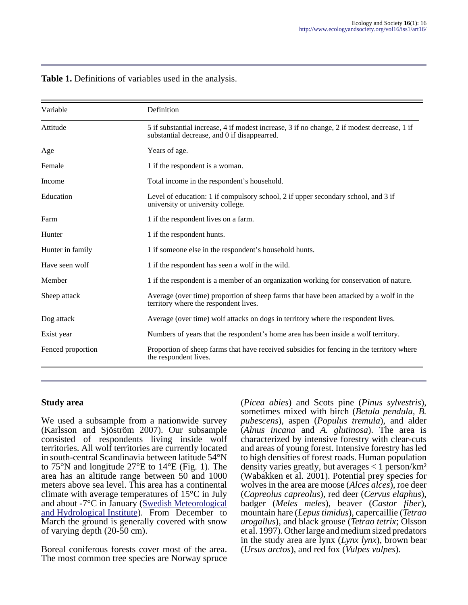| Variable          | Definition                                                                                                                                  |  |
|-------------------|---------------------------------------------------------------------------------------------------------------------------------------------|--|
| Attitude          | 5 if substantial increase, 4 if modest increase, 3 if no change, 2 if modest decrease, 1 if<br>substantial decrease, and 0 if disappearred. |  |
| Age               | Years of age.                                                                                                                               |  |
| Female            | 1 if the respondent is a woman.                                                                                                             |  |
| Income            | Total income in the respondent's household.                                                                                                 |  |
| Education         | Level of education: 1 if compulsory school, 2 if upper secondary school, and 3 if<br>university or university college.                      |  |
| Farm              | 1 if the respondent lives on a farm.                                                                                                        |  |
| Hunter            | 1 if the respondent hunts.                                                                                                                  |  |
| Hunter in family  | 1 if someone else in the respondent's household hunts.                                                                                      |  |
| Have seen wolf    | 1 if the respondent has seen a wolf in the wild.                                                                                            |  |
| Member            | 1 if the respondent is a member of an organization working for conservation of nature.                                                      |  |
| Sheep attack      | Average (over time) proportion of sheep farms that have been attacked by a wolf in the<br>territory where the respondent lives.             |  |
| Dog attack        | Average (over time) wolf attacks on dogs in territory where the respondent lives.                                                           |  |
| Exist year        | Numbers of years that the respondent's home area has been inside a wolf territory.                                                          |  |
| Fenced proportion | Proportion of sheep farms that have received subsidies for fencing in the territory where<br>the respondent lives.                          |  |

#### **Table 1.** Definitions of variables used in the analysis.

#### **Study area**

We used a subsample from a nationwide survey (Karlsson and Sjöström 2007). Our subsample consisted of respondents living inside wolf territories. All wolf territories are currently located in south-central Scandinavia between latitude 54°N to 75°N and longitude 27°E to 14°E (Fig. 1). The area has an altitude range between 50 and 1000 meters above sea level. This area has a continental climate with average temperatures of 15°C in July and about -7°C in January [\(Swedish Meteorological](http://www.smhi.se) [and Hydrological Institute\)](http://www.smhi.se). From December to March the ground is generally covered with snow of varying depth (20-50 cm).

Boreal coniferous forests cover most of the area. The most common tree species are Norway spruce (*Picea abies*) and Scots pine (*Pinus sylvestris*), sometimes mixed with birch (*Betula pendula, B. pubescens*), aspen (*Populus tremula*), and alder (*Alnus incana* and *A. glutinosa*). The area is characterized by intensive forestry with clear-cuts and areas of young forest. Intensive forestry has led to high densities of forest roads. Human population density varies greatly, but averages  $< 1$  person/km<sup>2</sup> (Wabakken et al. 2001). Potential prey species for wolves in the area are moose (*Alces alces*), roe deer (*Capreolus capreolus*), red deer (*Cervus elaphus*), badger (*Meles meles*), beaver (*Castor fiber*), mountain hare (*Lepus timidus*), capercaillie (*Tetrao urogallus*), and black grouse (*Tetrao tetrix*; Olsson et al. 1997). Other large and medium sized predators in the study area are lynx (*Lynx lynx*), brown bear (*Ursus arctos*), and red fox (*Vulpes vulpes*).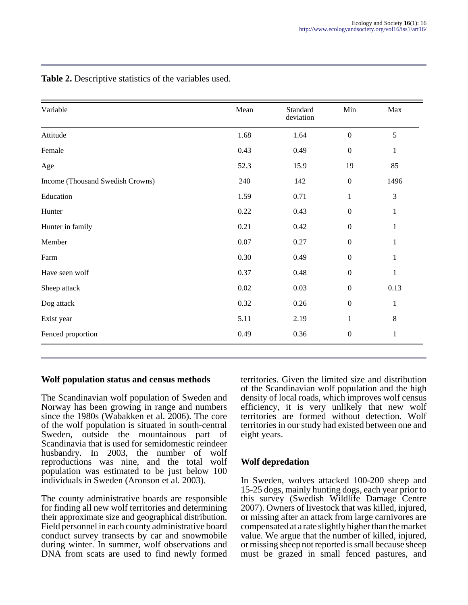| Variable                         | Mean | Standard<br>deviation | Min              | Max          |
|----------------------------------|------|-----------------------|------------------|--------------|
| Attitude                         | 1.68 | 1.64                  | $\boldsymbol{0}$ | 5            |
| Female                           | 0.43 | 0.49                  | $\boldsymbol{0}$ | $\mathbf{1}$ |
| Age                              | 52.3 | 15.9                  | 19               | 85           |
| Income (Thousand Swedish Crowns) | 240  | 142                   | $\boldsymbol{0}$ | 1496         |
| Education                        | 1.59 | 0.71                  | $\mathbf{1}$     | 3            |
| Hunter                           | 0.22 | 0.43                  | $\boldsymbol{0}$ | $\mathbf{1}$ |
| Hunter in family                 | 0.21 | 0.42                  | $\boldsymbol{0}$ | $\mathbf{1}$ |
| Member                           | 0.07 | 0.27                  | $\boldsymbol{0}$ | $\mathbf{1}$ |
| Farm                             | 0.30 | 0.49                  | $\boldsymbol{0}$ | 1            |
| Have seen wolf                   | 0.37 | 0.48                  | $\boldsymbol{0}$ | $\mathbf{1}$ |
| Sheep attack                     | 0.02 | 0.03                  | $\boldsymbol{0}$ | 0.13         |
| Dog attack                       | 0.32 | 0.26                  | $\boldsymbol{0}$ | $\mathbf{1}$ |
| Exist year                       | 5.11 | 2.19                  | $\mathbf{1}$     | $8\,$        |
| Fenced proportion                | 0.49 | 0.36                  | $\boldsymbol{0}$ | $\mathbf{1}$ |

**Table 2.** Descriptive statistics of the variables used.

### **Wolf population status and census methods**

The Scandinavian wolf population of Sweden and Norway has been growing in range and numbers since the 1980s (Wabakken et al. 2006). The core of the wolf population is situated in south-central Sweden, outside the mountainous part of Scandinavia that is used for semidomestic reindeer husbandry. In 2003, the number of wolf reproductions was nine, and the total wolf population was estimated to be just below 100 individuals in Sweden (Aronson et al. 2003).

The county administrative boards are responsible for finding all new wolf territories and determining their approximate size and geographical distribution. Field personnel in each county administrative board conduct survey transects by car and snowmobile during winter. In summer, wolf observations and DNA from scats are used to find newly formed

territories. Given the limited size and distribution of the Scandinavian wolf population and the high density of local roads, which improves wolf census efficiency, it is very unlikely that new wolf territories are formed without detection. Wolf territories in our study had existed between one and eight years.

# **Wolf depredation**

In Sweden, wolves attacked 100-200 sheep and 15-25 dogs, mainly hunting dogs, each year prior to this survey (Swedish Wildlife Damage Centre 2007). Owners of livestock that was killed, injured, or missing after an attack from large carnivores are compensated at a rate slightly higher than the market value. We argue that the number of killed, injured, or missing sheep not reported is small because sheep must be grazed in small fenced pastures, and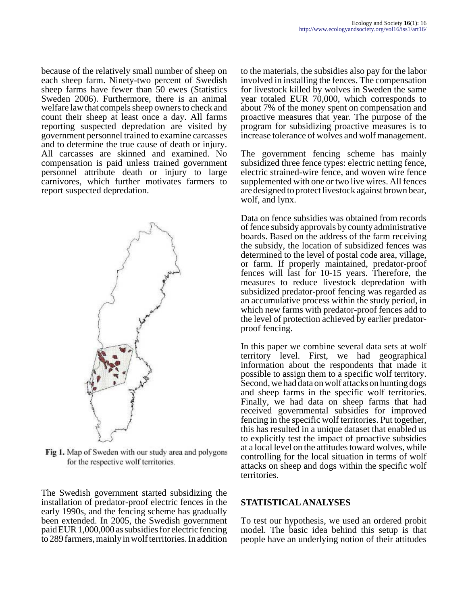because of the relatively small number of sheep on each sheep farm. Ninety-two percent of Swedish sheep farms have fewer than 50 ewes (Statistics Sweden 2006). Furthermore, there is an animal welfare law that compels sheep owners to check and count their sheep at least once a day. All farms reporting suspected depredation are visited by government personnel trained to examine carcasses and to determine the true cause of death or injury. All carcasses are skinned and examined. No compensation is paid unless trained government personnel attribute death or injury to large carnivores, which further motivates farmers to report suspected depredation.



Fig 1. Map of Sweden with our study area and polygons for the respective wolf territories.

The Swedish government started subsidizing the installation of predator-proof electric fences in the early 1990s, and the fencing scheme has gradually been extended. In 2005, the Swedish government paid EUR 1,000,000 as subsidies for electric fencing to 289 farmers, mainly in wolf territories. In addition

to the materials, the subsidies also pay for the labor involved in installing the fences. The compensation for livestock killed by wolves in Sweden the same year totaled EUR 70,000, which corresponds to about 7% of the money spent on compensation and proactive measures that year. The purpose of the program for subsidizing proactive measures is to increase tolerance of wolves and wolf management.

The government fencing scheme has mainly subsidized three fence types: electric netting fence, electric strained-wire fence, and woven wire fence supplemented with one or two live wires. All fences are designed to protect livestock against brown bear, wolf, and lynx.

Data on fence subsidies was obtained from records of fence subsidy approvals by county administrative boards. Based on the address of the farm receiving the subsidy, the location of subsidized fences was determined to the level of postal code area, village, or farm. If properly maintained, predator-proof fences will last for 10-15 years. Therefore, the measures to reduce livestock depredation with subsidized predator-proof fencing was regarded as an accumulative process within the study period, in which new farms with predator-proof fences add to the level of protection achieved by earlier predatorproof fencing.

In this paper we combine several data sets at wolf territory level. First, we had geographical information about the respondents that made it possible to assign them to a specific wolf territory. Second, we had data on wolf attacks on hunting dogs and sheep farms in the specific wolf territories. Finally, we had data on sheep farms that had received governmental subsidies for improved fencing in the specific wolf territories. Put together, this has resulted in a unique dataset that enabled us to explicitly test the impact of proactive subsidies at a local level on the attitudes toward wolves, while controlling for the local situation in terms of wolf attacks on sheep and dogs within the specific wolf territories.

### **STATISTICAL ANALYSES**

To test our hypothesis, we used an ordered probit model. The basic idea behind this setup is that people have an underlying notion of their attitudes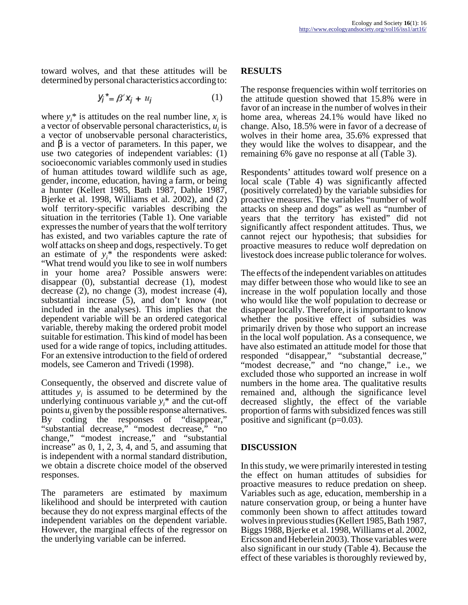toward wolves, and that these attitudes will be determined by personal characteristics according to:

$$
Y_j^* = \beta' X_j + u_j \tag{1}
$$

where  $y_i^*$  is attitudes on the real number line,  $x_i$  is a vector of observable personal characteristics,  $u_i$  is a vector of unobservable personal characteristics, and  $β$  is a vector of parameters. In this paper, we use two categories of independent variables: (1) socioeconomic variables commonly used in studies of human attitudes toward wildlife such as age, gender, income, education, having a farm, or being a hunter (Kellert 1985, Bath 1987, Dahle 1987, Bjerke et al. 1998, Williams et al. 2002), and (2) wolf territory-specific variables describing the situation in the territories (Table 1). One variable expresses the number of years that the wolf territory has existed, and two variables capture the rate of wolf attacks on sheep and dogs, respectively. To get an estimate of  $y_i^*$  the respondents were asked: "What trend would you like to see in wolf numbers in your home area? Possible answers were: disappear (0), substantial decrease (1), modest decrease (2), no change (3), modest increase (4), substantial increase (5), and don't know (not included in the analyses). This implies that the dependent variable will be an ordered categorical variable, thereby making the ordered probit model suitable for estimation. This kind of model has been used for a wide range of topics, including attitudes. For an extensive introduction to the field of ordered models, see Cameron and Trivedi (1998).

Consequently, the observed and discrete value of attitudes  $y_i$  is assumed to be determined by the underlying continuous variable  $y_i^*$  and the cut-off points *u*<sub>i</sub> given by the possible response alternatives. By coding the responses of "disappear," "substantial decrease," "modest decrease," "no change," "modest increase," and "substantial increase" as 0, 1, 2, 3, 4, and 5, and assuming that is independent with a normal standard distribution, we obtain a discrete choice model of the observed responses.

The parameters are estimated by maximum likelihood and should be interpreted with caution because they do not express marginal effects of the independent variables on the dependent variable. However, the marginal effects of the regressor on the underlying variable can be inferred.

### **RESULTS**

The response frequencies within wolf territories on the attitude question showed that 15.8% were in favor of an increase in the number of wolves in their home area, whereas 24.1% would have liked no change. Also, 18.5% were in favor of a decrease of wolves in their home area, 35.6% expressed that they would like the wolves to disappear, and the remaining 6% gave no response at all (Table 3).

Respondents' attitudes toward wolf presence on a local scale (Table 4) was significantly affected (positively correlated) by the variable subsidies for proactive measures. The variables "number of wolf attacks on sheep and dogs" as well as "number of years that the territory has existed" did not significantly affect respondent attitudes. Thus, we cannot reject our hypothesis; that subsidies for proactive measures to reduce wolf depredation on livestock does increase public tolerance for wolves.

The effects of the independent variables on attitudes may differ between those who would like to see an increase in the wolf population locally and those who would like the wolf population to decrease or disappear locally. Therefore, it is important to know whether the positive effect of subsidies was primarily driven by those who support an increase in the local wolf population. As a consequence, we have also estimated an attitude model for those that responded "disappear," "substantial decrease," "modest decrease," and "no change," i.e., we excluded those who supported an increase in wolf numbers in the home area. The qualitative results remained and, although the significance level decreased slightly, the effect of the variable proportion of farms with subsidized fences was still positive and significant  $(p=0.03)$ .

### **DISCUSSION**

In this study, we were primarily interested in testing the effect on human attitudes of subsidies for proactive measures to reduce predation on sheep. Variables such as age, education, membership in a nature conservation group, or being a hunter have commonly been shown to affect attitudes toward wolves in previous studies (Kellert 1985, Bath 1987, Biggs 1988, Bjerke et al. 1998, Williams et al. 2002, Ericsson and Heberlein 2003). Those variables were also significant in our study (Table 4). Because the effect of these variables is thoroughly reviewed by,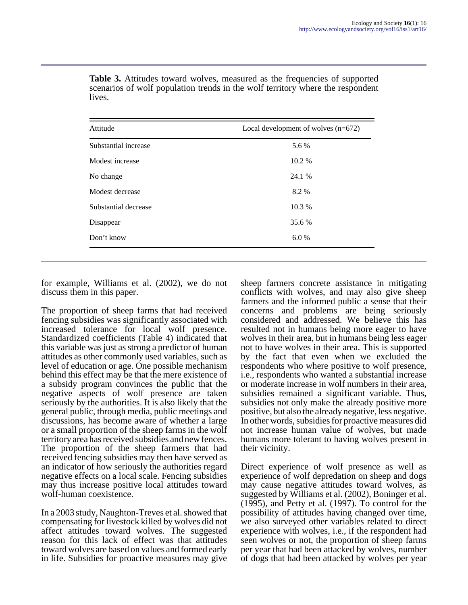| Attitude             | Local development of wolves (n=672) |  |
|----------------------|-------------------------------------|--|
| Substantial increase | 5.6 %                               |  |
| Modest increase      | 10.2 %                              |  |
| No change            | 24.1 %                              |  |
| Modest decrease      | 8.2%                                |  |
| Substantial decrease | 10.3 %                              |  |
| Disappear            | 35.6 %                              |  |
| Don't know           | 6.0%                                |  |

**Table 3.** Attitudes toward wolves, measured as the frequencies of supported scenarios of wolf population trends in the wolf territory where the respondent lives.

for example, Williams et al. (2002), we do not discuss them in this paper.

The proportion of sheep farms that had received fencing subsidies was significantly associated with increased tolerance for local wolf presence. Standardized coefficients (Table 4) indicated that this variable was just as strong a predictor of human attitudes as other commonly used variables, such as level of education or age. One possible mechanism behind this effect may be that the mere existence of a subsidy program convinces the public that the negative aspects of wolf presence are taken seriously by the authorities. It is also likely that the general public, through media, public meetings and discussions, has become aware of whether a large or a small proportion of the sheep farms in the wolf territory area has received subsidies and new fences. The proportion of the sheep farmers that had received fencing subsidies may then have served as an indicator of how seriously the authorities regard negative effects on a local scale. Fencing subsidies may thus increase positive local attitudes toward wolf-human coexistence.

In a 2003 study, Naughton-Treves et al. showed that compensating for livestock killed by wolves did not affect attitudes toward wolves. The suggested reason for this lack of effect was that attitudes toward wolves are based on values and formed early in life. Subsidies for proactive measures may give

sheep farmers concrete assistance in mitigating conflicts with wolves, and may also give sheep farmers and the informed public a sense that their concerns and problems are being seriously considered and addressed. We believe this has resulted not in humans being more eager to have wolves in their area, but in humans being less eager not to have wolves in their area. This is supported by the fact that even when we excluded the respondents who where positive to wolf presence, i.e., respondents who wanted a substantial increase or moderate increase in wolf numbers in their area, subsidies remained a significant variable. Thus, subsidies not only make the already positive more positive, but also the already negative, less negative. In other words, subsidies for proactive measures did not increase human value of wolves, but made humans more tolerant to having wolves present in their vicinity.

Direct experience of wolf presence as well as experience of wolf depredation on sheep and dogs may cause negative attitudes toward wolves, as suggested by Williams et al. (2002), Boninger et al. (1995), and Petty et al. (1997). To control for the possibility of attitudes having changed over time, we also surveyed other variables related to direct experience with wolves, i.e., if the respondent had seen wolves or not, the proportion of sheep farms per year that had been attacked by wolves, number of dogs that had been attacked by wolves per year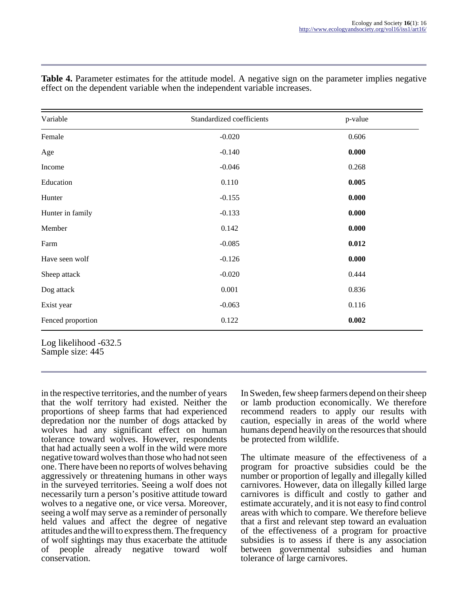| Variable          | Standardized coefficients | p-value |
|-------------------|---------------------------|---------|
| Female            | $-0.020$                  | 0.606   |
| Age               | $-0.140$                  | 0.000   |
| Income            | $-0.046$                  | 0.268   |
| Education         | 0.110                     | 0.005   |
| Hunter            | $-0.155$                  | 0.000   |
| Hunter in family  | $-0.133$                  | 0.000   |
| Member            | 0.142                     | 0.000   |
| Farm              | $-0.085$                  | 0.012   |
| Have seen wolf    | $-0.126$                  | 0.000   |
| Sheep attack      | $-0.020$                  | 0.444   |
| Dog attack        | 0.001                     | 0.836   |
| Exist year        | $-0.063$                  | 0.116   |
| Fenced proportion | 0.122                     | 0.002   |

**Table 4.** Parameter estimates for the attitude model. A negative sign on the parameter implies negative effect on the dependent variable when the independent variable increases.

Sample size: 445

in the respective territories, and the number of years that the wolf territory had existed. Neither the proportions of sheep farms that had experienced depredation nor the number of dogs attacked by wolves had any significant effect on human tolerance toward wolves. However, respondents that had actually seen a wolf in the wild were more negative toward wolves than those who had not seen one. There have been no reports of wolves behaving aggressively or threatening humans in other ways in the surveyed territories. Seeing a wolf does not necessarily turn a person's positive attitude toward wolves to a negative one, or vice versa. Moreover, seeing a wolf may serve as a reminder of personally held values and affect the degree of negative attitudes and the will to express them. The frequency of wolf sightings may thus exacerbate the attitude of people already negative toward wolf conservation.

In Sweden, few sheep farmers depend on their sheep or lamb production economically. We therefore recommend readers to apply our results with caution, especially in areas of the world where humans depend heavily on the resources that should be protected from wildlife.

The ultimate measure of the effectiveness of a program for proactive subsidies could be the number or proportion of legally and illegally killed carnivores. However, data on illegally killed large carnivores is difficult and costly to gather and estimate accurately, and it is not easy to find control areas with which to compare. We therefore believe that a first and relevant step toward an evaluation of the effectiveness of a program for proactive subsidies is to assess if there is any association between governmental subsidies and human tolerance of large carnivores.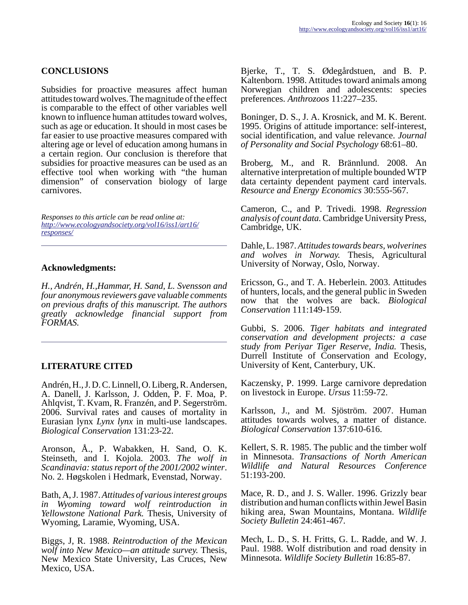# **CONCLUSIONS**

Subsidies for proactive measures affect human attitudes toward wolves. The magnitude of the effect is comparable to the effect of other variables well known to influence human attitudes toward wolves, such as age or education. It should in most cases be far easier to use proactive measures compared with altering age or level of education among humans in a certain region. Our conclusion is therefore that subsidies for proactive measures can be used as an effective tool when working with "the human dimension" of conservation biology of large carnivores.

*Responses to this article can be read online at: [http://www](http://www.ecologyandsociety.org/vol16/iss1/art16/responses/).ecologyandsociety.org/vol16/iss1/art16/ responses/*

### **Acknowledgments:**

*H., Andrén, H.,Hammar, H. Sand, L. Svensson and four anonymous reviewers gave valuable comments on previous drafts of this manuscript. The authors greatly acknowledge financial support from FORMAS.*

### **LITERATURE CITED**

Andrén, H., J. D. C. Linnell, O. Liberg, R. Andersen, A. Danell, J. Karlsson, J. Odden, P. F. Moa, P. Ahlqvist, T. Kvam, R. Franzén, and P. Segerström. 2006. Survival rates and causes of mortality in Eurasian lynx *Lynx lynx* in multi-use landscapes. *Biological Conservation* 131:23-22.

Aronson, Å., P. Wabakken, H. Sand, O. K. Steinseth, and I. Kojola. 2003. *The wolf in Scandinavia: status report of the 2001/2002 winter*. No. 2. Høgskolen i Hedmark, Evenstad, Norway.

Bath, A, J. 1987. *Attitudes of various interest groups in Wyoming toward wolf reintroduction in Yellowstone National Park.* Thesis, University of Wyoming, Laramie, Wyoming, USA.

Biggs, J, R. 1988. *Reintroduction of the Mexican wolf into New Mexico—an attitude survey.* Thesis, New Mexico State University, Las Cruces, New Mexico, USA.

Bjerke, T., T. S. Ødegårdstuen, and B. P. Kaltenborn. 1998. Attitudes toward animals among Norwegian children and adolescents: species preferences. *Anthrozoos* 11:227–235.

Boninger, D. S., J. A. Krosnick, and M. K. Berent. 1995. Origins of attitude importance: self-interest, social identification, and value relevance. *Journal of Personality and Social Psychology* 68:61–80.

Broberg, M., and R. Brännlund. 2008. An alternative interpretation of multiple bounded WTP data certainty dependent payment card intervals. *Resource and Energy Economics* 30:555-567.

Cameron, C., and P. Trivedi. 1998. *Regression analysis of count data.* Cambridge University Press, Cambridge, UK.

Dahle, L. 1987. *Attitudes towards bears, wolverines and wolves in Norway.* Thesis, Agricultural University of Norway, Oslo, Norway.

Ericsson, G., and T. A. Heberlein. 2003. Attitudes of hunters, locals, and the general public in Sweden now that the wolves are back. *Biological Conservation* 111:149-159.

Gubbi, S. 2006. *Tiger habitats and integrated conservation and development projects: a case study from Periyar Tiger Reserve, India.* Thesis, Durrell Institute of Conservation and Ecology, University of Kent, Canterbury, UK.

Kaczensky, P. 1999. Large carnivore depredation on livestock in Europe. *Ursus* 11:59-72.

Karlsson, J., and M. Sjöström. 2007. Human attitudes towards wolves, a matter of distance. *Biological Conservation* 137:610-616.

Kellert, S. R. 1985. The public and the timber wolf in Minnesota. *Transactions of North American Wildlife and Natural Resources Conference* 51:193-200.

Mace, R. D., and J. S. Waller. 1996. Grizzly bear distribution and human conflicts within Jewel Basin hiking area, Swan Mountains, Montana. *Wildlife Society Bulletin* 24:461-467.

Mech, L. D., S. H. Fritts, G. L. Radde, and W. J. Paul. 1988. Wolf distribution and road density in Minnesota. *Wildlife Society Bulletin* 16:85-87.